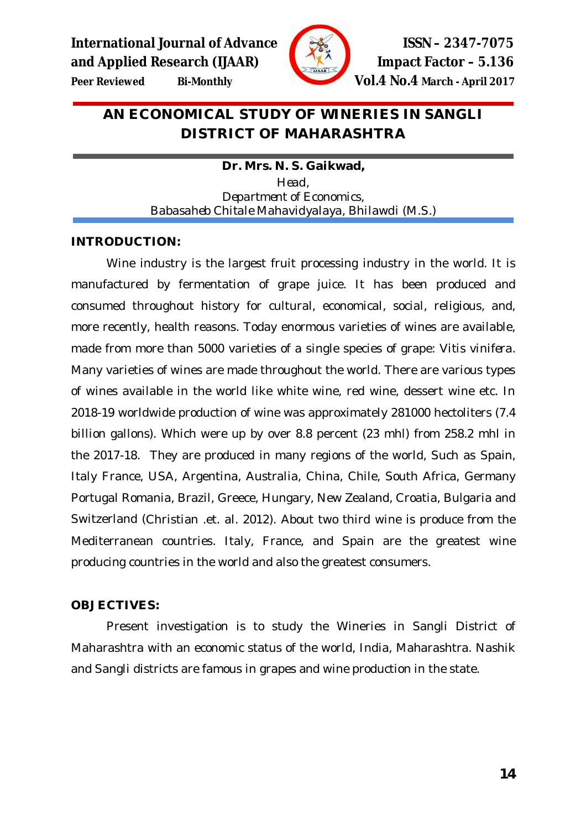

**Peer Reviewed Bi-Monthly Vol.4 No.4 March - April 2017**

# **AN ECONOMICAL STUDY OF WINERIES IN SANGLI DISTRICT OF MAHARASHTRA**

**Dr. Mrs. N. S. Gaikwad,** *Head, Department of Economics, Babasaheb Chitale Mahavidyalaya, Bhilawdi (M.S.)*

# **INTRODUCTION:**

Wine industry is the largest fruit processing industry in the world. It is manufactured by fermentation of grape juice. It has been produced and consumed throughout history for cultural, economical, social, religious, and, more recently, health reasons. Today enormous varieties of wines are available, made from more than 5000 varieties of a single species of grape: *Vitis vinifera*. Many varieties of wines are made throughout the world. There are various types of wines available in the world like white wine, red wine, dessert wine etc. In 2018-19 worldwide production of wine was approximately 281000 hectoliters (7.4 billion gallons). Which were up by over 8.8 percent (23 mhl) from 258.2 mhl in the 2017-18. They are produced in many regions of the world, Such as Spain, Italy France, USA, Argentina, Australia, China, Chile, South Africa, Germany Portugal Romania, Brazil, Greece, Hungary, New Zealand, Croatia, Bulgaria and Switzerland (Christian .et. al. 2012). About two third wine is produce from the Mediterranean countries. Italy, France, and Spain are the greatest wine producing countries in the world and also the greatest consumers.

## **OBJECTIVES:**

Present investigation is to study the Wineries in Sangli District of Maharashtra with an economic status of the world, India, Maharashtra. Nashik and Sangli districts are famous in grapes and wine production in the state.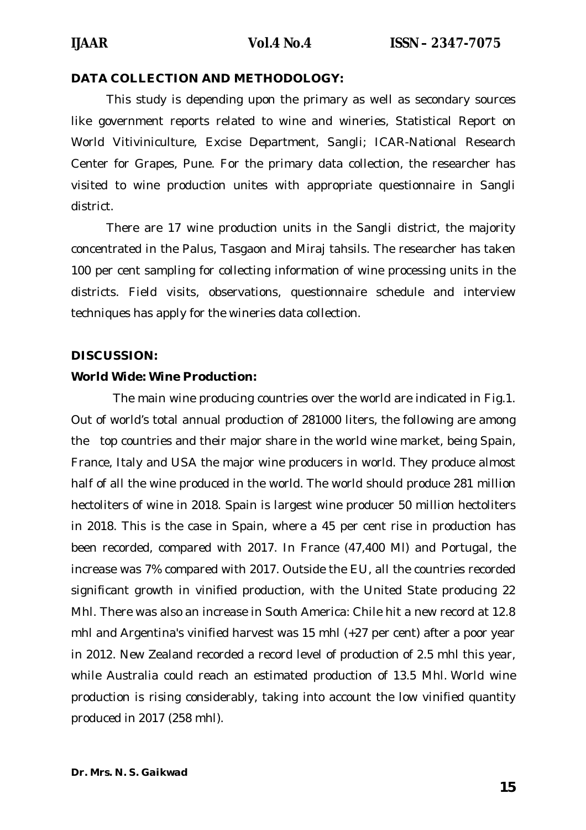## **DATA COLLECTION AND METHODOLOGY:**

This study is depending upon the primary as well as secondary sources like government reports related to wine and wineries, Statistical Report on World Vitiviniculture, Excise Department, Sangli; ICAR-National Research Center for Grapes, Pune. For the primary data collection, the researcher has visited to wine production unites with appropriate questionnaire in Sangli district.

There are 17 wine production units in the Sangli district, the majority concentrated in the Palus, Tasgaon and Miraj tahsils. The researcher has taken 100 per cent sampling for collecting information of wine processing units in the districts. Field visits, observations, questionnaire schedule and interview techniques has apply for the wineries data collection.

#### **DISCUSSION:**

#### **World Wide: Wine Production:**

The main wine producing countries over the world are indicated in Fig.1. Out of world's total annual production of 281000 liters, the following are among the top countries and their major share in the world wine market, being Spain, France, Italy and USA the major wine producers in world. They produce almost half of all the wine produced in the world. The world should produce 281 million hectoliters of wine in 2018. Spain is largest wine producer 50 million hectoliters in 2018. This is the case in Spain, where a 45 per cent rise in production has been recorded, compared with 2017. In France (47,400 Ml) and Portugal, the increase was 7% compared with 2017. Outside the EU, all the countries recorded significant growth in vinified production, with the United State producing 22 Mhl. There was also an increase in South America: Chile hit a new record at 12.8 mhl and Argentina's vinified harvest was 15 mhl (+27 per cent) after a poor year in 2012. New Zealand recorded a record level of production of 2.5 mhl this year, while Australia could reach an estimated production of 13.5 Mhl. World wine production is rising considerably, taking into account the low vinified quantity produced in 2017 (258 mhl).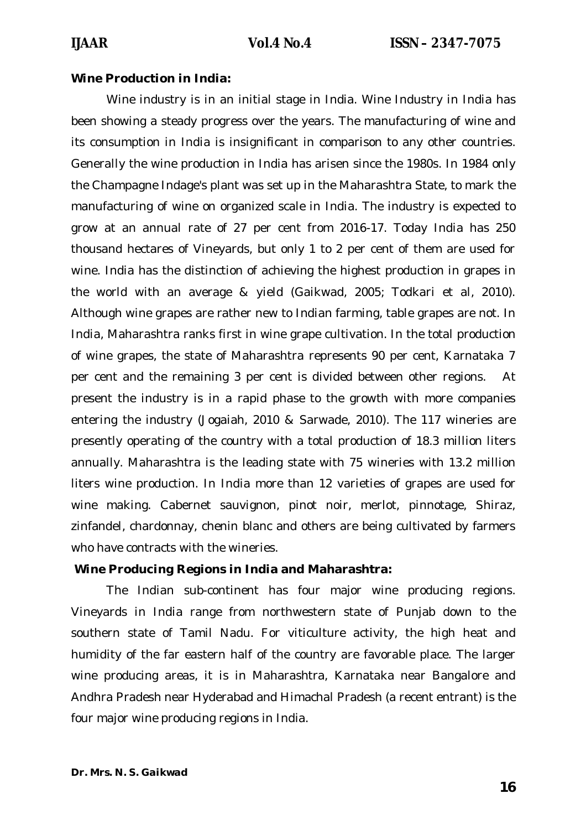#### **Wine Production in India:**

Wine industry is in an initial stage in India. Wine Industry in India has been showing a steady progress over the years. The manufacturing of wine and its consumption in India is insignificant in comparison to any other countries. Generally the wine production in India has arisen since the 1980s. In 1984 only the Champagne Indage's plant was set up in the Maharashtra State, to mark the manufacturing of wine on organized scale in India. The industry is expected to grow at an annual rate of 27 per cent from 2016-17. Today India has 250 thousand hectares of Vineyards, but only 1 to 2 per cent of them are used for wine. India has the distinction of achieving the highest production in grapes in the world with an average & yield (Gaikwad, 2005; Todkari et al, 2010). Although wine grapes are rather new to Indian farming, table grapes are not. In India, Maharashtra ranks first in wine grape cultivation. In the total production of wine grapes, the state of Maharashtra represents 90 per cent, Karnataka 7 per cent and the remaining 3 per cent is divided between other regions. At present the industry is in a rapid phase to the growth with more companies entering the industry (Jogaiah, 2010 & Sarwade, 2010). The 117 wineries are presently operating of the country with a total production of 18.3 million liters annually. Maharashtra is the leading state with 75 wineries with 13.2 million liters wine production. In India more than 12 varieties of grapes are used for wine making. Cabernet sauvignon, pinot noir, merlot, pinnotage, Shiraz, zinfandel, chardonnay, chenin blanc and others are being cultivated by farmers who have contracts with the wineries.

#### **Wine Producing Regions in India and Maharashtra:**

The Indian sub-continent has four major wine producing regions. Vineyards in India range from northwestern state of Punjab down to the southern state of Tamil Nadu. For viticulture activity, the high heat and humidity of the far eastern half of the country are favorable place. The larger wine producing areas, it is in Maharashtra, Karnataka near Bangalore and Andhra Pradesh near Hyderabad and Himachal Pradesh (a recent entrant) is the four major wine producing regions in India.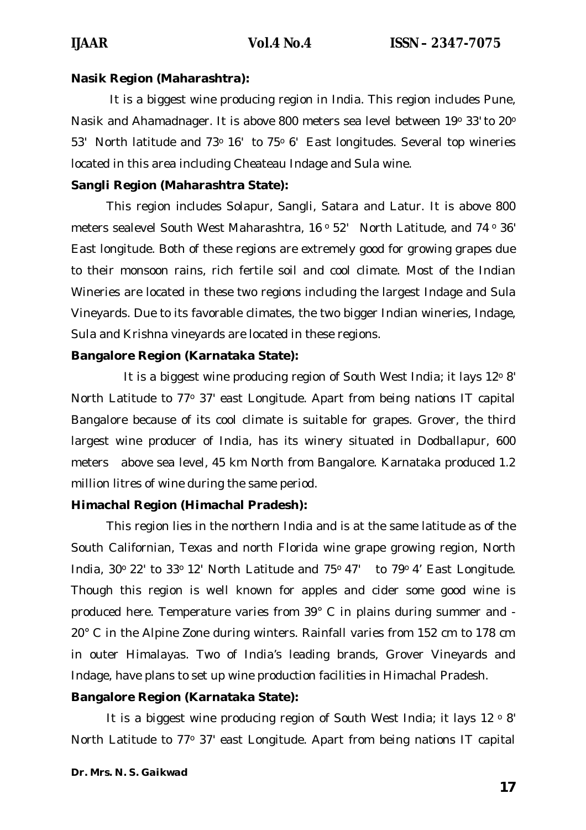#### **Nasik Region (Maharashtra):**

It is a biggest wine producing region in India. This region includes Pune, Nasik and Ahamadnager. It is above 800 meters sea level between 19° 33' to 20° 53' North latitude and 73° 16' to 75° 6' East longitudes. Several top wineries located in this area including Cheateau Indage and Sula wine.

## **Sangli Region (Maharashtra State):**

This region includes Solapur, Sangli, Satara and Latur. It is above 800 meters sealevel South West Maharashtra, 16° 52' North Latitude, and 74° 36' East longitude. Both of these regions are extremely good for growing grapes due to their monsoon rains, rich fertile soil and cool climate. Most of the Indian Wineries are located in these two regions including the largest Indage and Sula Vineyards. Due to its favorable climates, the two bigger Indian wineries, Indage, Sula and Krishna vineyards are located in these regions.

### **Bangalore Region (Karnataka State):**

It is a biggest wine producing region of South West India; it lays 12° 8' North Latitude to 77° 37' east Longitude. Apart from being nations IT capital Bangalore because of its cool climate is suitable for grapes. Grover, the third largest wine producer of India, has its winery situated in Dodballapur, 600 meters above sea level, 45 km North from Bangalore. Karnataka produced 1.2 million litres of wine during the same period.

## **Himachal Region (Himachal Pradesh):**

This region lies in the northern India and is at the same latitude as of the South Californian, Texas and north Florida wine grape growing region, North India,  $30^{\circ}$  22' to  $33^{\circ}$  12' North Latitude and  $75^{\circ}$  47' to  $79^{\circ}$  4' East Longitude. Though this region is well known for apples and cider some good wine is produced here. Temperature varies from 39° C in plains during summer and - 20° C in the Alpine Zone during winters. Rainfall varies from 152 cm to 178 cm in outer Himalayas. Two of India's leading brands, Grover Vineyards and Indage, have plans to set up wine production facilities in Himachal Pradesh.

## **Bangalore Region (Karnataka State):**

It is a biggest wine producing region of South West India; it lays  $12 \circ 8'$ North Latitude to 77° 37' east Longitude. Apart from being nations IT capital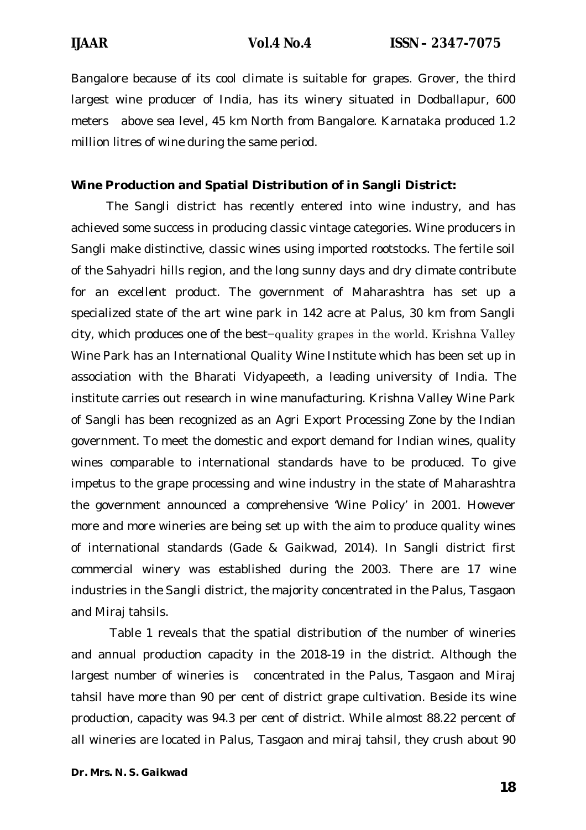Bangalore because of its cool climate is suitable for grapes. Grover, the third largest wine producer of India, has its winery situated in Dodballapur, 600 meters above sea level, 45 km North from Bangalore. Karnataka produced 1.2 million litres of wine during the same period.

## **Wine Production and Spatial Distribution of in Sangli District:**

The Sangli district has recently entered into wine industry, and has achieved some success in producing classic vintage categories. Wine producers in Sangli make distinctive, classic wines using imported rootstocks. The fertile soil of the Sahyadri hills region, and the long sunny days and dry climate contribute for an excellent product. The government of Maharashtra has set up a specialized state of the art wine park in 142 acre at Palus, 30 km from Sangli city, which produces one of the best−quality grapes in the world. Krishna Valley Wine Park has an International Quality Wine Institute which has been set up in association with the Bharati Vidyapeeth, a leading university of India. The institute carries out research in wine manufacturing. Krishna Valley Wine Park of Sangli has been recognized as an Agri Export Processing Zone by the Indian government. To meet the domestic and export demand for Indian wines, quality wines comparable to international standards have to be produced. To give impetus to the grape processing and wine industry in the state of Maharashtra the government announced a comprehensive 'Wine Policy' in 2001. However more and more wineries are being set up with the aim to produce quality wines of international standards (Gade & Gaikwad, 2014). In Sangli district first commercial winery was established during the 2003. There are 17 wine industries in the Sangli district, the majority concentrated in the Palus, Tasgaon and Miraj tahsils.

Table 1 reveals that the spatial distribution of the number of wineries and annual production capacity in the 2018-19 in the district. Although the largest number of wineries is concentrated in the Palus, Tasgaon and Miraj tahsil have more than 90 per cent of district grape cultivation. Beside its wine production, capacity was 94.3 per cent of district. While almost 88.22 percent of all wineries are located in Palus, Tasgaon and miraj tahsil, they crush about 90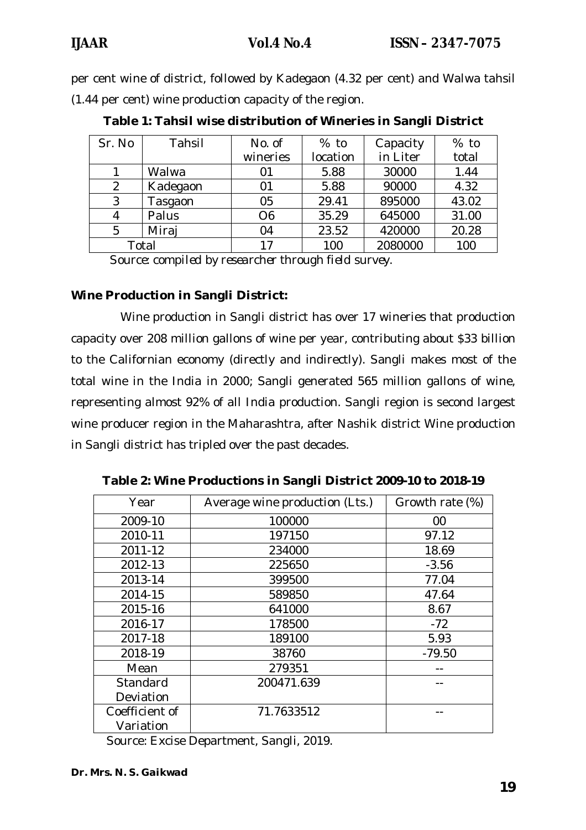per cent wine of district, followed by Kadegaon (4.32 per cent) and Walwa tahsil (1.44 per cent) wine production capacity of the region.

| Sr. No | Tahsil   | No. of         | $%$ to   | Capacity | $%$ to |
|--------|----------|----------------|----------|----------|--------|
|        |          | wineries       | location | in Liter | total  |
|        | Walwa    | 01             | 5.88     | 30000    | 1.44   |
| 2      | Kadegaon | 01             | 5.88     | 90000    | 4.32   |
| 3      | Tasgaon  | 05             | 29.41    | 895000   | 43.02  |
| 4      | Palus    | O <sub>6</sub> | 35.29    | 645000   | 31.00  |
| 5      | Miraj    | 04             | 23.52    | 420000   | 20.28  |
| Total  |          | 17             | 100      | 2080000  | 100    |

**Table 1: Tahsil wise distribution of Wineries in Sangli District**

*Source: compiled by researcher through field survey.*

## **Wine Production in Sangli District:**

 Wine production in Sangli district has over 17 wineries that production capacity over 208 million gallons of wine per year, contributing about \$33 billion to the Californian economy (directly and indirectly). Sangli makes most of the total wine in the India in 2000; Sangli generated 565 million gallons of wine, representing almost 92% of all India production. Sangli region is second largest wine producer region in the Maharashtra, after Nashik district Wine production in Sangli district has tripled over the past decades.

| Year           | Average wine production (Lts.) | Growth rate (%) |
|----------------|--------------------------------|-----------------|
| 2009-10        | 100000                         | 00              |
| 2010-11        | 197150                         | 97.12           |
| 2011-12        | 234000                         | 18.69           |
| 2012-13        | 225650                         | $-3.56$         |
| 2013-14        | 399500                         | 77.04           |
| 2014-15        | 589850                         | 47.64           |
| 2015-16        | 641000                         | 8.67            |
| 2016-17        | 178500                         | $-72$           |
| 2017-18        | 189100                         | 5.93            |
| 2018-19        | 38760                          | $-79.50$        |
| Mean           | 279351                         |                 |
| Standard       | 200471.639                     |                 |
| Deviation      |                                |                 |
| Coefficient of | 71.7633512                     |                 |
| Variation      |                                |                 |

**Table 2: Wine Productions in Sangli District 2009-10 to 2018-19**

Source: Excise Department, Sangli, 2019.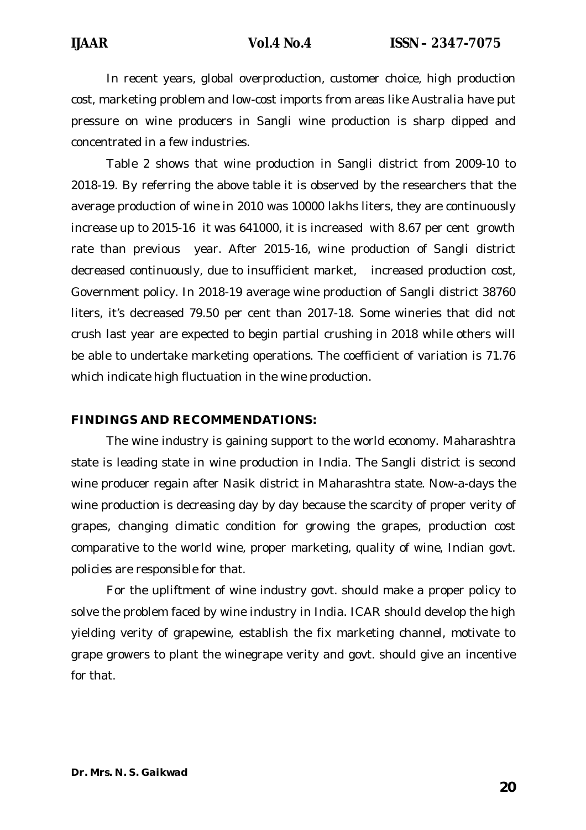In recent years, global overproduction, customer choice, high production cost, marketing problem and low-cost imports from areas like Australia have put pressure on wine producers in Sangli wine production is sharp dipped and concentrated in a few industries.

Table 2 shows that wine production in Sangli district from 2009-10 to 2018-19. By referring the above table it is observed by the researchers that the average production of wine in 2010 was 10000 lakhs liters, they are continuously increase up to 2015-16 it was 641000, it is increased with 8.67 per cent growth rate than previous year. After 2015-16, wine production of Sangli district decreased continuously, due to insufficient market, increased production cost, Government policy. In 2018-19 average wine production of Sangli district 38760 liters, it's decreased 79.50 per cent than 2017-18. Some wineries that did not crush last year are expected to begin partial crushing in 2018 while others will be able to undertake marketing operations. The coefficient of variation is 71.76 which indicate high fluctuation in the wine production.

#### **FINDINGS AND RECOMMENDATIONS:**

The wine industry is gaining support to the world economy. Maharashtra state is leading state in wine production in India. The Sangli district is second wine producer regain after Nasik district in Maharashtra state. Now-a-days the wine production is decreasing day by day because the scarcity of proper verity of grapes, changing climatic condition for growing the grapes, production cost comparative to the world wine, proper marketing, quality of wine, Indian govt. policies are responsible for that.

For the upliftment of wine industry govt. should make a proper policy to solve the problem faced by wine industry in India. ICAR should develop the high yielding verity of grapewine, establish the fix marketing channel, motivate to grape growers to plant the winegrape verity and govt. should give an incentive for that.